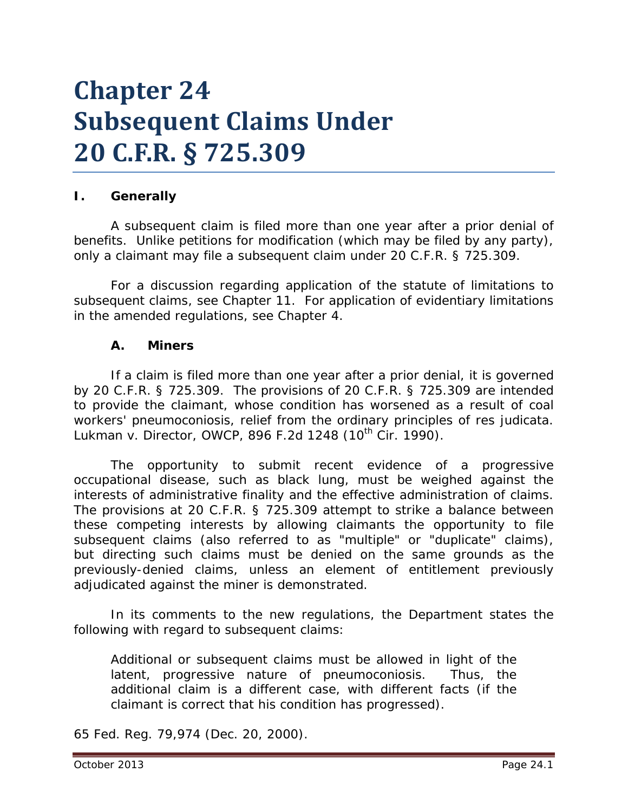# **Chapter 24 Subsequent Claims Under 20 C.F.R. § 725.309**

## **I. Generally**

A subsequent claim is filed *more than one year* after a prior denial of benefits. Unlike petitions for modification (which may be filed by any party), only a claimant may file a subsequent claim under 20 C.F.R. § 725.309.

For a discussion regarding application of the statute of limitations to subsequent claims, *see* Chapter 11. For application of evidentiary limitations in the amended regulations, *see* Chapter 4.

#### **A. Miners**

If a claim is filed *more than one year* after a prior denial, it is governed by 20 C.F.R. § 725.309. The provisions of 20 C.F.R. § 725.309 are intended to provide the claimant, whose condition has worsened as a result of coal workers' pneumoconiosis, relief from the ordinary principles of *res judicata*. *Lukman v. Director, OWCP*, 896 F.2d 1248 (10<sup>th</sup> Cir. 1990).

The opportunity to submit recent evidence of a progressive occupational disease, such as black lung, must be weighed against the interests of administrative finality and the effective administration of claims. The provisions at 20 C.F.R. § 725.309 attempt to strike a balance between these competing interests by allowing claimants the opportunity to file subsequent claims (also referred to as "multiple" or "duplicate" claims), but directing such claims must be denied on the same grounds as the previously-denied claims, unless an element of entitlement previously adjudicated against the miner is demonstrated.

In its comments to the new regulations, the Department states the following with regard to subsequent claims:

Additional or subsequent claims must be allowed in light of the latent, progressive nature of pneumoconiosis. Thus, the additional claim is a different case, with different facts (if the claimant is correct that his condition has progressed).

65 Fed. Reg. 79,974 (Dec. 20, 2000).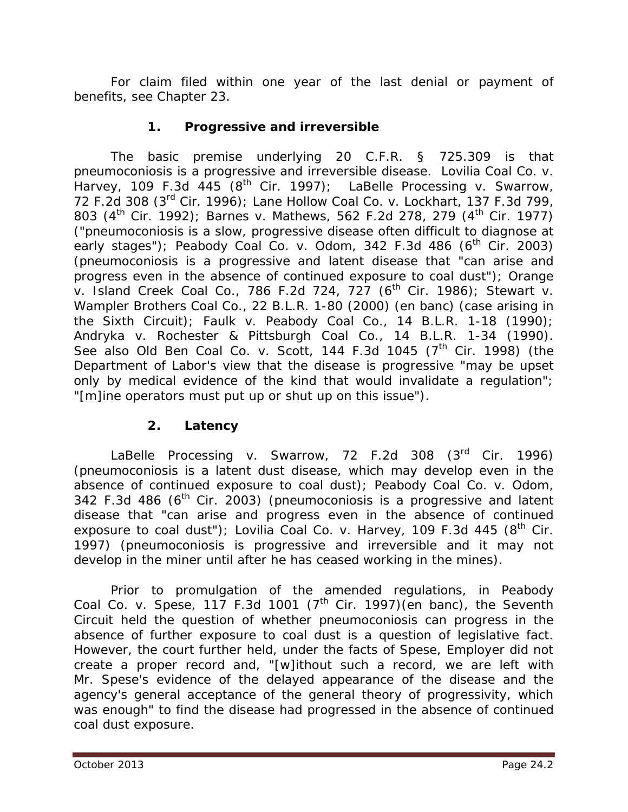For claim filed within one year of the last denial or payment of benefits, *see* Chapter 23.

## **1. Progressive and irreversible**

The basic premise underlying 20 C.F.R. § 725.309 is that pneumoconiosis is a progressive and irreversible disease. *Lovilia Coal Co. v. Harvey*, 109 F.3d 445 (8th Cir. 1997); *LaBelle Processing v. Swarrow*, 72 F.2d 308 (3rd Cir. 1996); *Lane Hollow Coal Co. v. Lockhart*, 137 F.3d 799, 803 (4th Cir. 1992); *Barnes v. Mathews*, 562 F.2d 278, 279 (4th Cir. 1977) ("pneumoconiosis is a slow, progressive disease often difficult to diagnose at early stages"); *Peabody Coal Co. v. Odom*, 342 F.3d 486 (6<sup>th</sup> Cir. 2003) (pneumoconiosis is a progressive and latent disease that "can arise and progress even in the absence of continued exposure to coal dust"); *Orange v. Island Creek Coal Co.*, 786 F.2d 724, 727 (6th Cir. 1986); *Stewart v. Wampler Brothers Coal Co.*, 22 B.L.R. 1-80 (2000) (en banc) (case arising in the Sixth Circuit); *Faulk v. Peabody Coal Co.*, 14 B.L.R. 1-18 (1990); *Andryka v. Rochester & Pittsburgh Coal Co.*, 14 B.L.R. 1-34 (1990). See also Old Ben Coal Co. v. Scott, 144 F.3d 1045 (7<sup>th</sup> Cir. 1998) (the Department of Labor's view that the disease is progressive "may be upset only by medical evidence of the kind that would invalidate a regulation"; "[m]ine operators must put up or shut up on this issue").

## **2. Latency**

*LaBelle Processing v. Swarrow*, 72 F.2d 308 (3rd Cir. 1996) (pneumoconiosis is a latent dust disease, which may develop even in the absence of continued exposure to coal dust); *Peabody Coal Co. v. Odom*, 342 F.3d 486 ( $6<sup>th</sup>$  Cir. 2003) (pneumoconiosis is a progressive and latent disease that "can arise and progress even in the absence of continued exposure to coal dust"); *Lovilia Coal Co. v. Harvey*, 109 F.3d 445 (8<sup>th</sup> Cir. 1997) (pneumoconiosis is progressive and irreversible and it may not develop in the miner until after he has ceased working in the mines).

Prior to promulgation of the amended regulations, in *Peabody Coal Co. v. Spese*, 117 F.3d 1001 (7th Cir. 1997)(en banc), the Seventh Circuit held the question of whether pneumoconiosis can progress in the absence of further exposure to coal dust is a question of legislative fact. However, the court further held, under the facts of *Spese*, Employer did not create a proper record and, "[w]ithout such a record, we are left with Mr. Spese's evidence of the delayed appearance of the disease and the agency's general acceptance of the general theory of progressivity, which was enough" to find the disease had progressed in the absence of continued coal dust exposure.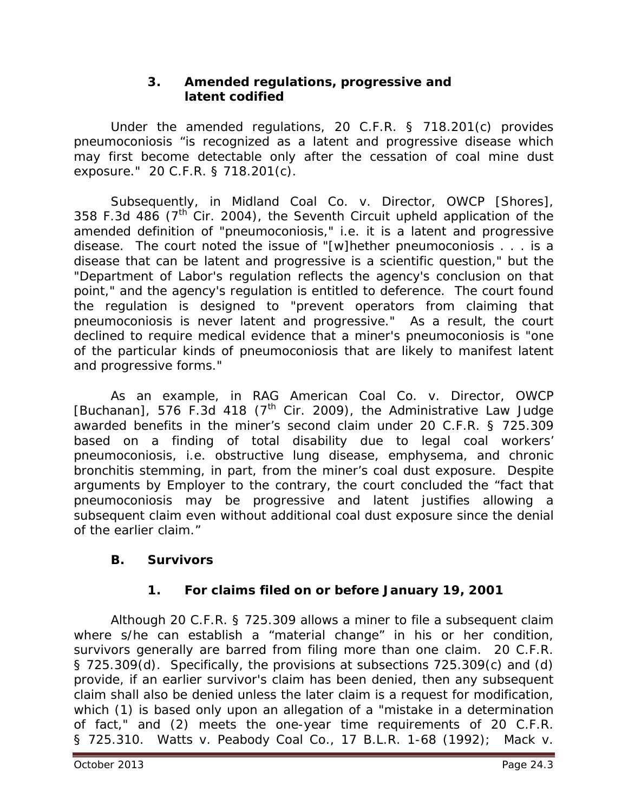## **3. Amended regulations, progressive and latent codified**

Under the amended regulations, 20 C.F.R. § 718.201(c) provides pneumoconiosis "is recognized as a latent and progressive disease which may first become detectable only after the cessation of coal mine dust exposure." 20 C.F.R. § 718.201(c).

Subsequently, in *Midland Coal Co. v. Director, OWCP [Shores]*, 358 F.3d 486 ( $7<sup>th</sup>$  Cir. 2004), the Seventh Circuit upheld application of the amended definition of "pneumoconiosis," *i.e.* it is a latent and progressive disease. The court noted the issue of "[w]hether pneumoconiosis . . . is a disease that can be latent and progressive is a scientific question," but the "Department of Labor's regulation reflects the agency's conclusion on that point," and the agency's regulation is entitled to deference. The court found the regulation is designed to "prevent operators from claiming that pneumoconiosis is *never* latent and progressive." As a result, the court declined to require medical evidence that a miner's pneumoconiosis is "one of the particular kinds of pneumoconiosis that are likely to manifest latent and progressive forms."

As an example, in *RAG American Coal Co. v. Director, OWCP*  [Buchanan], 576 F.3d 418 (7<sup>th</sup> Cir. 2009), the Administrative Law Judge awarded benefits in the miner's second claim under 20 C.F.R. § 725.309 based on a finding of total disability due to legal coal workers' pneumoconiosis, *i.e.* obstructive lung disease, emphysema, and chronic bronchitis stemming, in part, from the miner's coal dust exposure. Despite arguments by Employer to the contrary, the court concluded the "fact that pneumoconiosis may be progressive and latent justifies allowing a subsequent claim even without additional coal dust exposure since the denial of the earlier claim."

## **B. Survivors**

# **1. For claims filed on or before January 19, 2001**

Although 20 C.F.R. § 725.309 allows a miner to file a subsequent claim where s/he can establish a "material change" in his or her condition, survivors generally are barred from filing more than one claim. 20 C.F.R. § 725.309(d). Specifically, the provisions at subsections 725.309(c) and (d) provide, if an earlier survivor's claim has been denied, then any subsequent claim shall also be denied *unless* the later claim is a request for modification, which (1) is based only upon an allegation of a "mistake in a determination of fact," and (2) meets the one-year time requirements of 20 C.F.R. § 725.310. *Watts v. Peabody Coal Co.*, 17 B.L.R. 1-68 (1992); *Mack v.*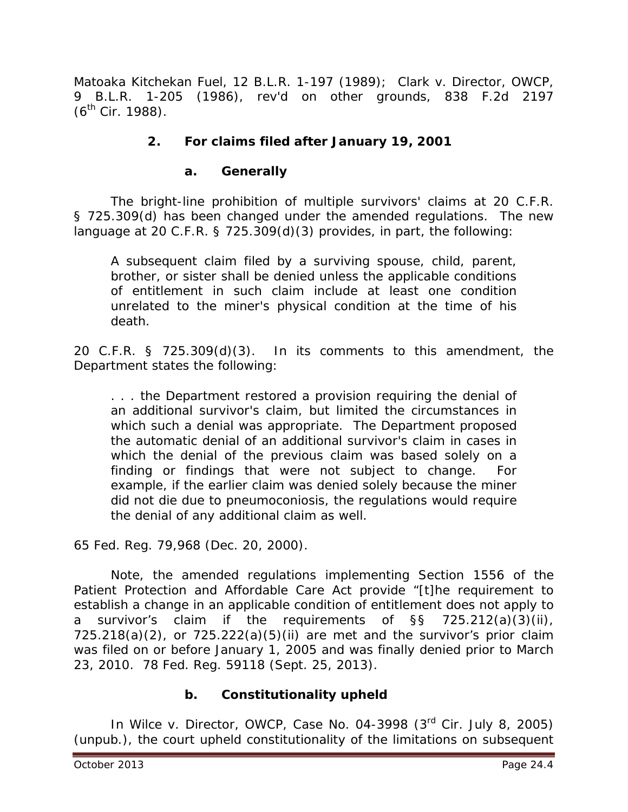*Matoaka Kitchekan Fuel*, 12 B.L.R. 1-197 (1989); *Clark v. Director, OWCP*, 9 B.L.R. 1-205 (1986), *rev'd on other grounds*, 838 F.2d 2197  $(6^{th}$  Cir. 1988).

## **2. For claims filed after January 19, 2001**

## **a. Generally**

The bright-line prohibition of multiple survivors' claims at 20 C.F.R. § 725.309(d) has been changed under the amended regulations. The new language at 20 C.F.R. § 725.309(d)(3) provides, in part, the following:

A subsequent claim filed by a surviving spouse, child, parent, brother, or sister shall be denied unless the applicable conditions of entitlement in such claim include at least one condition unrelated to the miner's physical condition at the time of his death.

20 C.F.R. § 725.309(d)(3). In its comments to this amendment, the Department states the following:

. . . the Department restored a provision requiring the denial of an additional survivor's claim, but limited the circumstances in which such a denial was appropriate. The Department proposed the automatic denial of an additional survivor's claim in cases in which the denial of the previous claim was based solely on a finding or findings that were not subject to change. For example, if the earlier claim was denied solely because the miner did not die due to pneumoconiosis, the regulations would require the denial of any additional claim as well.

65 Fed. Reg. 79,968 (Dec. 20, 2000).

Note, the amended regulations implementing Section 1556 of the Patient Protection and Affordable Care Act provide "[t]he requirement to establish a change in an applicable condition of entitlement does not apply to a survivor's claim if the requirements of §§ 725.212(a)(3)(ii),  $725.218(a)(2)$ , or  $725.222(a)(5)(ii)$  are met and the survivor's prior claim was filed on or before January 1, 2005 and was finally denied prior to March 23, 2010. 78 Fed. Reg. 59118 (Sept. 25, 2013).

#### **b. Constitutionality upheld**

In *Wilce v. Director, OWCP*, Case No. 04-3998 (3rd Cir. July 8, 2005) (unpub.), the court upheld constitutionality of the limitations on subsequent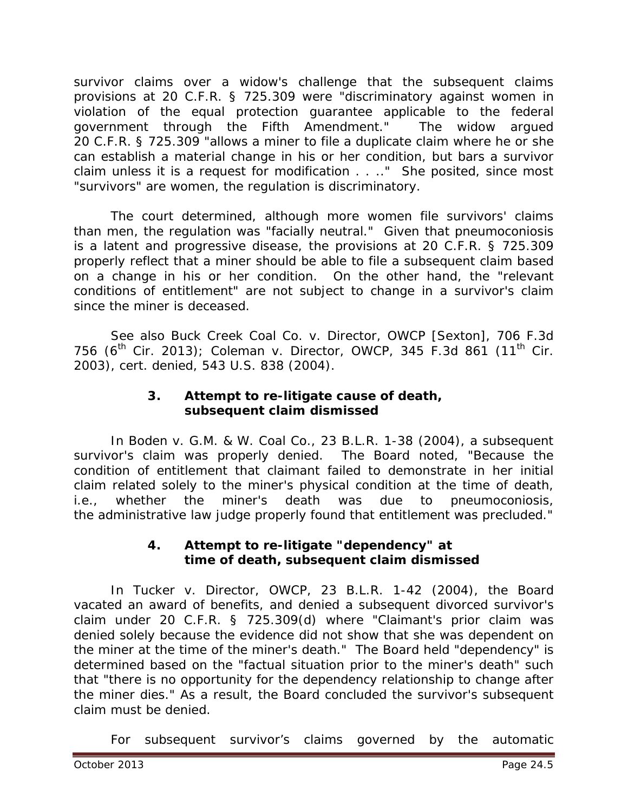survivor claims over a widow's challenge that the subsequent claims provisions at 20 C.F.R. § 725.309 were "discriminatory against women in violation of the equal protection guarantee applicable to the federal government through the Fifth Amendment." The widow argued 20 C.F.R. § 725.309 "allows a miner to file a duplicate claim where he or she can establish a material change in his or her condition, but bars a survivor claim unless it is a request for modification . . .." She posited, since most "survivors" are women, the regulation is discriminatory.

The court determined, although more women file survivors' claims than men, the regulation was "facially neutral." Given that pneumoconiosis is a latent and progressive disease, the provisions at 20 C.F.R. § 725.309 properly reflect that a miner should be able to file a subsequent claim based on a change in his or her condition. On the other hand, the "relevant conditions of entitlement" are not subject to change in a survivor's claim since the miner is deceased.

*See also Buck Creek Coal Co. v. Director, OWCP [Sexton]*, 706 F.3d 756 (6<sup>th</sup> Cir. 2013); *Coleman v. Director, OWCP*, 345 F.3d 861 (11<sup>th</sup> Cir. 2003), *cert. denied*, 543 U.S. 838 (2004).

## **3. Attempt to re-litigate cause of death, subsequent claim dismissed**

In *Boden v. G.M. & W. Coal Co.*, 23 B.L.R. 1-38 (2004), a subsequent survivor's claim was properly denied. The Board noted, "Because the condition of entitlement that claimant failed to demonstrate in her initial claim related solely to the miner's physical condition at the time of death, *i.e.*, whether the miner's death was due to pneumoconiosis, the administrative law judge properly found that entitlement was precluded."

#### **4. Attempt to re-litigate "dependency" at time of death, subsequent claim dismissed**

In *Tucker v. Director, OWCP*, 23 B.L.R. 1-42 (2004), the Board vacated an award of benefits, and denied a subsequent divorced survivor's claim under 20 C.F.R. § 725.309(d) where "Claimant's prior claim was denied solely because the evidence did not show that she was dependent on the miner at the time of the miner's death." The Board held "dependency" is determined based on the "factual situation prior to the miner's death" such that "there is no opportunity for the dependency relationship to change after the miner dies." As a result, the Board concluded the survivor's subsequent claim must be denied.

For subsequent survivor's claims governed by the automatic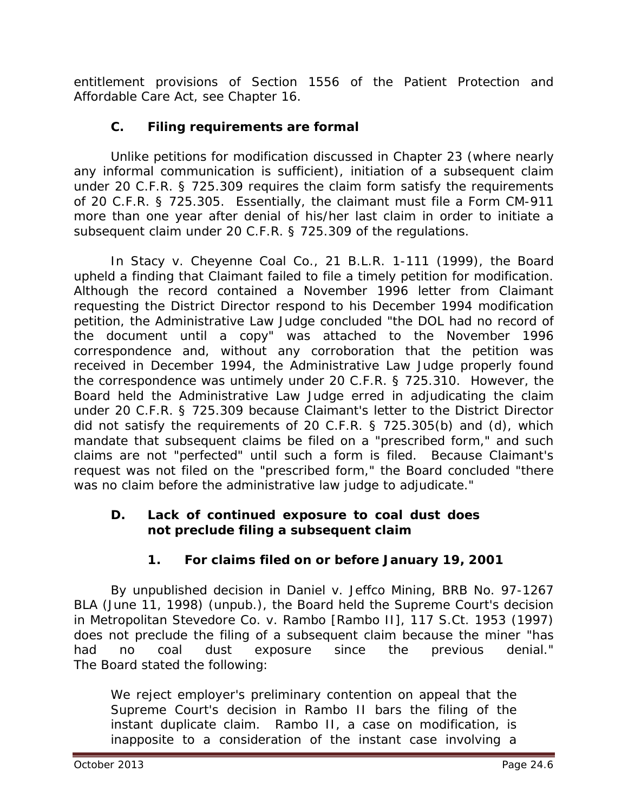entitlement provisions of Section 1556 of the Patient Protection and Affordable Care Act, *see* Chapter 16.

# **C. Filing requirements are formal**

Unlike petitions for modification discussed in Chapter 23 (where nearly any informal communication is sufficient), initiation of a subsequent claim under 20 C.F.R. § 725.309 requires the claim form satisfy the requirements of 20 C.F.R. § 725.305. Essentially, the claimant must file a Form CM-911 more than one year after denial of his/her last claim in order to initiate a subsequent claim under 20 C.F.R. § 725.309 of the regulations.

In *Stacy v. Cheyenne Coal Co.*, 21 B.L.R. 1-111 (1999), the Board upheld a finding that Claimant failed to file a timely petition for modification. Although the record contained a November 1996 letter from Claimant requesting the District Director respond to his December 1994 modification petition, the Administrative Law Judge concluded "the DOL had no record of the document until a copy" was attached to the November 1996 correspondence and, without any corroboration that the petition was received in December 1994, the Administrative Law Judge properly found the correspondence was untimely under 20 C.F.R. § 725.310. However, the Board held the Administrative Law Judge erred in adjudicating the claim under 20 C.F.R. § 725.309 because Claimant's letter to the District Director did not satisfy the requirements of 20 C.F.R. § 725.305(b) and (d), which mandate that subsequent claims be filed on a "prescribed form," and such claims are not "perfected" until such a form is filed. Because Claimant's request was not filed on the "prescribed form," the Board concluded "there was no claim before the administrative law judge to adjudicate."

## **D. Lack of continued exposure to coal dust does not preclude filing a subsequent claim**

# **1. For claims filed on or before January 19, 2001**

By unpublished decision in *Daniel v. Jeffco Mining*, BRB No. 97-1267 BLA (June 11, 1998) (unpub.), the Board held the Supreme Court's decision in *Metropolitan Stevedore Co. v. Rambo [Rambo II]*, 117 S.Ct. 1953 (1997) does not preclude the filing of a subsequent claim because the miner "has had no coal dust exposure since the previous denial." The Board stated the following:

We reject employer's preliminary contention on appeal that the Supreme Court's decision in *Rambo II* bars the filing of the instant duplicate claim. *Rambo II*, a case on modification, is inapposite to a consideration of the instant case involving a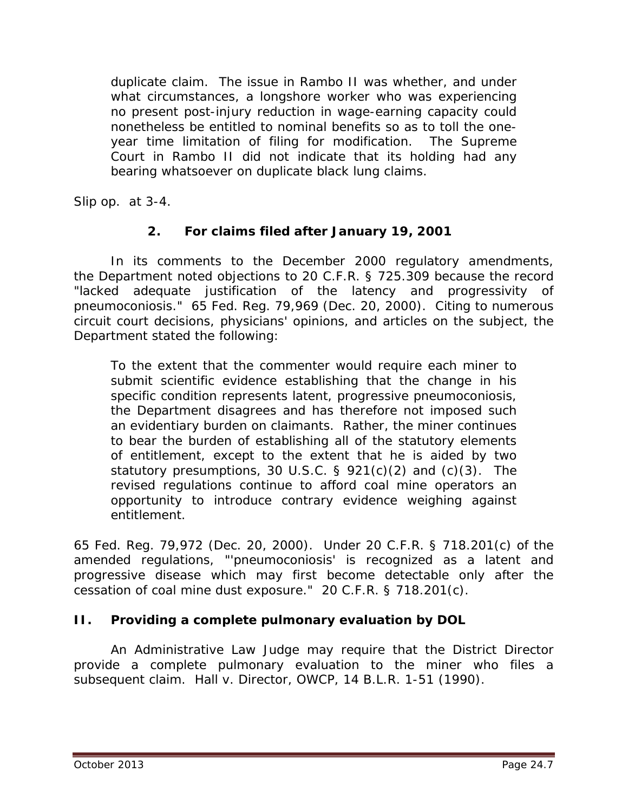duplicate claim. The issue in *Rambo II* was whether, and under what circumstances, a longshore worker who was experiencing no present post-injury reduction in wage-earning capacity could nonetheless be entitled to nominal benefits so as to toll the oneyear time limitation of filing for modification. The Supreme Court in *Rambo II* did not indicate that its holding had any bearing whatsoever on duplicate black lung claims.

*Slip op.* at 3-4.

# **2. For claims filed after January 19, 2001**

In its comments to the December 2000 regulatory amendments, the Department noted objections to 20 C.F.R. § 725.309 because the record "lacked adequate justification of the latency and progressivity of pneumoconiosis." 65 Fed. Reg. 79,969 (Dec. 20, 2000). Citing to numerous circuit court decisions, physicians' opinions, and articles on the subject, the Department stated the following:

To the extent that the commenter would require each miner to submit scientific evidence establishing that the change in his specific condition represents latent, progressive pneumoconiosis, the Department disagrees and has therefore not imposed such an evidentiary burden on claimants. Rather, the miner continues to bear the burden of establishing all of the statutory elements of entitlement, except to the extent that he is aided by two statutory presumptions, 30 U.S.C. § 921(c)(2) and (c)(3). The revised regulations continue to afford coal mine operators an opportunity to introduce contrary evidence weighing against entitlement.

65 Fed. Reg. 79,972 (Dec. 20, 2000). Under 20 C.F.R. § 718.201(c) of the amended regulations, "'pneumoconiosis' is recognized as a latent and progressive disease which may first become detectable only after the cessation of coal mine dust exposure." 20 C.F.R. § 718.201(c).

## **II. Providing a complete pulmonary evaluation by DOL**

An Administrative Law Judge may require that the District Director provide a complete pulmonary evaluation to the miner who files a subsequent claim. *Hall v. Director, OWCP*, 14 B.L.R. 1-51 (1990).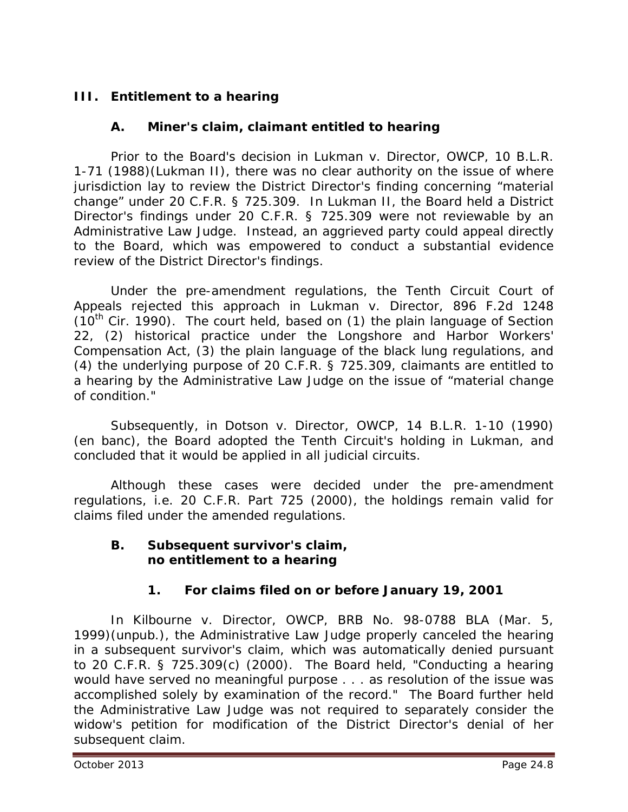# **III. Entitlement to a hearing**

## **A. Miner's claim, claimant entitled to hearing**

Prior to the Board's decision in *Lukman v. Director*, OWCP, 10 B.L.R. 1-71 (1988)(*Lukman II*), there was no clear authority on the issue of where jurisdiction lay to review the District Director's finding concerning "material change" under 20 C.F.R. § 725.309. In *Lukman II*, the Board held a District Director's findings under 20 C.F.R. § 725.309 were not reviewable by an Administrative Law Judge. Instead, an aggrieved party could appeal directly to the Board, which was empowered to conduct a substantial evidence review of the District Director's findings.

Under the pre-amendment regulations, the Tenth Circuit Court of Appeals rejected this approach in *Lukman v. Director*, 896 F.2d 1248  $(10<sup>th</sup>$  Cir. 1990). The court held, based on (1) the plain language of Section 22, (2) historical practice under the Longshore and Harbor Workers' Compensation Act, (3) the plain language of the black lung regulations, and (4) the underlying purpose of 20 C.F.R. § 725.309, claimants are entitled to a hearing by the Administrative Law Judge on the issue of "material change of condition."

Subsequently, in *Dotson v. Director, OWCP*, 14 B.L.R. 1-10 (1990) (*en banc*), the Board adopted the Tenth Circuit's holding in *Lukman,* and concluded that it would be applied in all judicial circuits.

Although these cases were decided under the pre-amendment regulations, *i.e.* 20 C.F.R. Part 725 (2000), the holdings remain valid for claims filed under the amended regulations.

#### **B. Subsequent survivor's claim, no entitlement to a hearing**

## **1. For claims filed on or before January 19, 2001**

In *Kilbourne v. Director, OWCP*, BRB No. 98-0788 BLA (Mar. 5, 1999)(unpub.), the Administrative Law Judge properly canceled the hearing in a subsequent survivor's claim, which was automatically denied pursuant to 20 C.F.R. § 725.309(c) (2000). The Board held, "Conducting a hearing would have served no meaningful purpose . . . as resolution of the issue was accomplished solely by examination of the record." The Board further held the Administrative Law Judge was not required to separately consider the widow's petition for modification of the District Director's denial of her subsequent claim.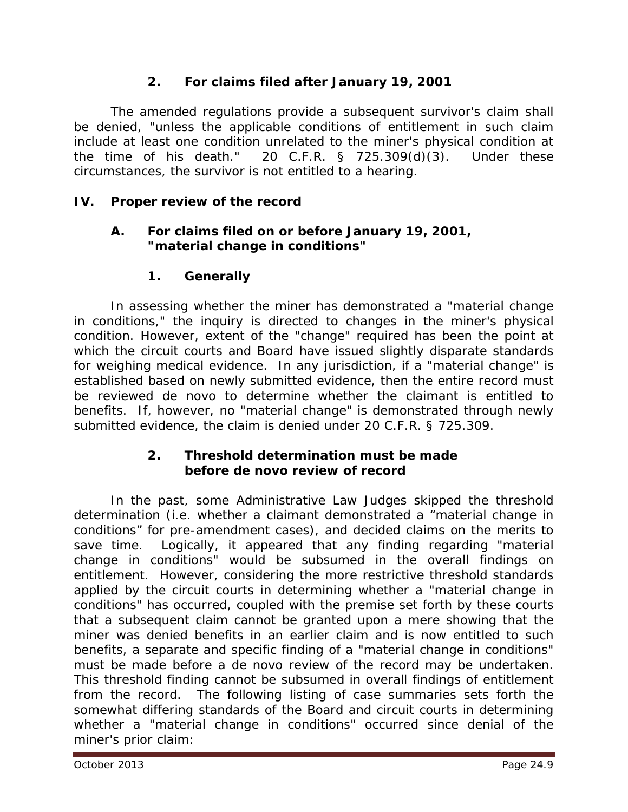# **2. For claims filed after January 19, 2001**

The amended regulations provide a subsequent survivor's claim shall be denied, "unless the applicable conditions of entitlement in such claim include at least one condition unrelated to the miner's physical condition at the time of his death." 20 C.F.R.  $\S$  725.309(d)(3). Under these circumstances, the survivor is not entitled to a hearing.

# **IV. Proper review of the record**

## **A. For claims filed on or before January 19, 2001, "material change in conditions"**

## **1. Generally**

In assessing whether the miner has demonstrated a "material change in conditions," the inquiry is directed to changes in the miner's physical condition. However, extent of the "change" required has been the point at which the circuit courts and Board have issued slightly disparate standards for weighing medical evidence. In any jurisdiction, if a "material change" is established based on newly submitted evidence, then the entire record must be reviewed *de novo* to determine whether the claimant is entitled to benefits. If, however, no "material change" is demonstrated through newly submitted evidence, the claim is denied under 20 C.F.R. § 725.309.

## **2. Threshold determination must be made before** *de novo* **review of record**

In the past, some Administrative Law Judges skipped the threshold determination (*i.e.* whether a claimant demonstrated a "material change in conditions" for pre-amendment cases), and decided claims on the merits to save time. Logically, it appeared that any finding regarding "material change in conditions" would be subsumed in the overall findings on entitlement. However, considering the more restrictive threshold standards applied by the circuit courts in determining whether a "material change in conditions" has occurred, coupled with the premise set forth by these courts that a subsequent claim cannot be granted upon a mere showing that the miner was denied benefits in an earlier claim and is now entitled to such benefits, a separate and specific finding of a "material change in conditions" must be made before a *de novo* review of the record may be undertaken. This threshold finding cannot be subsumed in overall findings of entitlement from the record. The following listing of case summaries sets forth the somewhat differing standards of the Board and circuit courts in determining whether a "material change in conditions" occurred since denial of the miner's prior claim: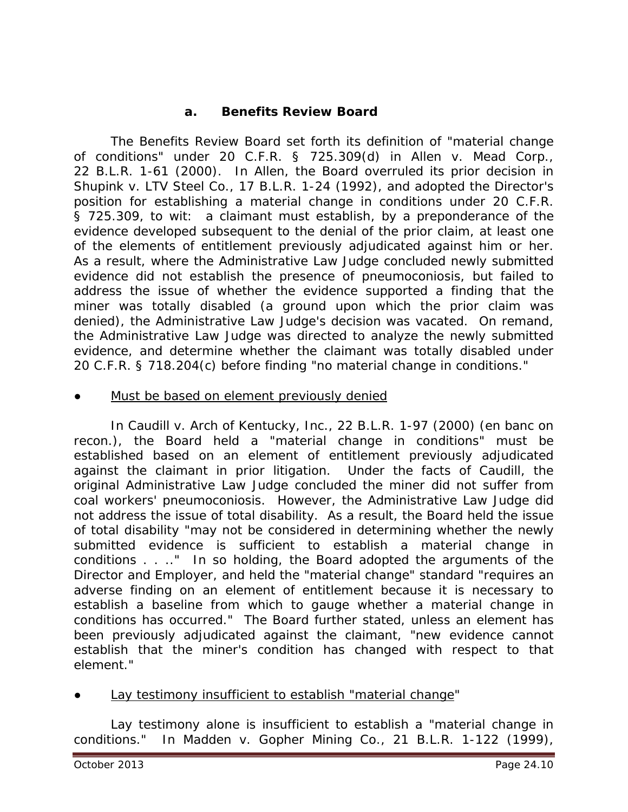## **a. Benefits Review Board**

The Benefits Review Board set forth its definition of "material change of conditions" under 20 C.F.R. § 725.309(d) in *Allen v. Mead Corp.*, 22 B.L.R. 1-61 (2000). In *Allen*, the Board overruled its prior decision in *Shupink v. LTV Steel Co.*, 17 B.L.R. 1-24 (1992), and adopted the Director's position for establishing a material change in conditions under 20 C.F.R. § 725.309, *to wit*: a claimant must establish, by a preponderance of the evidence developed subsequent to the denial of the prior claim, at least one of the elements of entitlement previously adjudicated against him or her. As a result, where the Administrative Law Judge concluded newly submitted evidence did not establish the presence of pneumoconiosis, but failed to address the issue of whether the evidence supported a finding that the miner was totally disabled (a ground upon which the prior claim was denied), the Administrative Law Judge's decision was vacated. On remand, the Administrative Law Judge was directed to analyze the newly submitted evidence, and determine whether the claimant was totally disabled under 20 C.F.R. § 718.204(c) before finding "no material change in conditions."

#### Must be based on element previously denied

In *Caudill v. Arch of Kentucky, Inc.*, 22 B.L.R. 1-97 (2000) (en banc on recon.), the Board held a "material change in conditions" must be established based on an element of entitlement previously adjudicated against the claimant in prior litigation. Under the facts of *Caudill,* the original Administrative Law Judge concluded the miner did not suffer from coal workers' pneumoconiosis. However, the Administrative Law Judge did not address the issue of total disability. As a result, the Board held the issue of total disability "may not be considered in determining whether the newly submitted evidence is sufficient to establish a material change in conditions . . .." In so holding, the Board adopted the arguments of the Director and Employer, and held the "material change" standard "requires an adverse finding on an element of entitlement because it is necessary to establish a baseline from which to gauge whether a material change in conditions has occurred." The Board further stated, unless an element has been previously adjudicated against the claimant, "new evidence cannot establish that the miner's condition has changed with respect to that element."

#### Lay testimony insufficient to establish "material change"

Lay testimony alone is insufficient to establish a "material change in conditions." In *Madden v. Gopher Mining Co.*, 21 B.L.R. 1-122 (1999),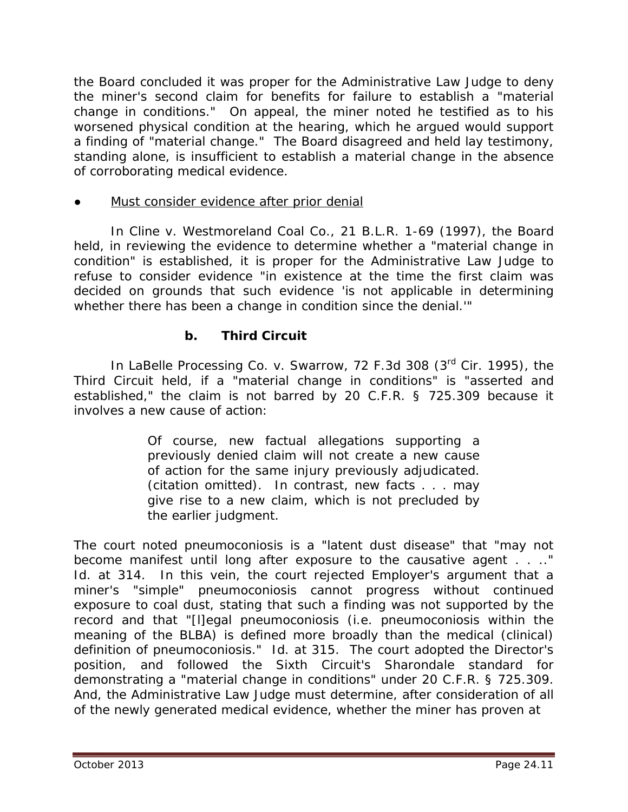the Board concluded it was proper for the Administrative Law Judge to deny the miner's second claim for benefits for failure to establish a "material change in conditions." On appeal, the miner noted he testified as to his worsened physical condition at the hearing, which he argued would support a finding of "material change." The Board disagreed and held lay testimony, standing alone, is insufficient to establish a material change in the absence of corroborating medical evidence.

## Must consider evidence after prior denial

In *Cline v. Westmoreland Coal Co.*, 21 B.L.R. 1-69 (1997), the Board held, in reviewing the evidence to determine whether a "material change in condition" is established, it is proper for the Administrative Law Judge to refuse to consider evidence "in existence at the time the first claim was decided on grounds that such evidence 'is not applicable in determining whether there has been a change in condition since the denial.'"

## **b. Third Circuit**

In *LaBelle Processing Co. v. Swarrow*, 72 F.3d 308 (3rd Cir. 1995), the Third Circuit held, if a "material change in conditions" is "asserted and established," the claim is not barred by 20 C.F.R. § 725.309 because it involves a new cause of action:

> Of course, new factual allegations supporting a previously denied claim will not create a new cause of action for the same injury previously adjudicated. (citation omitted). In contrast, new facts . . . may give rise to a new claim, which is not precluded by the earlier judgment.

The court noted pneumoconiosis is a "latent dust disease" that "may not become manifest until long after exposure to the causative agent . . . . " *Id.* at 314. In this vein, the court rejected Employer's argument that a miner's "simple" pneumoconiosis cannot progress without continued exposure to coal dust, stating that such a finding was not supported by the record and that "[l]egal pneumoconiosis (*i.e.* pneumoconiosis within the meaning of the BLBA) is defined more broadly than the medical (clinical) definition of pneumoconiosis." *Id.* at 315. The court adopted the Director's position, and followed the Sixth Circuit's *Sharondale* standard for demonstrating a "material change in conditions" under 20 C.F.R. § 725.309. And, the Administrative Law Judge must determine, after consideration of all of the newly generated medical evidence, whether the miner has proven at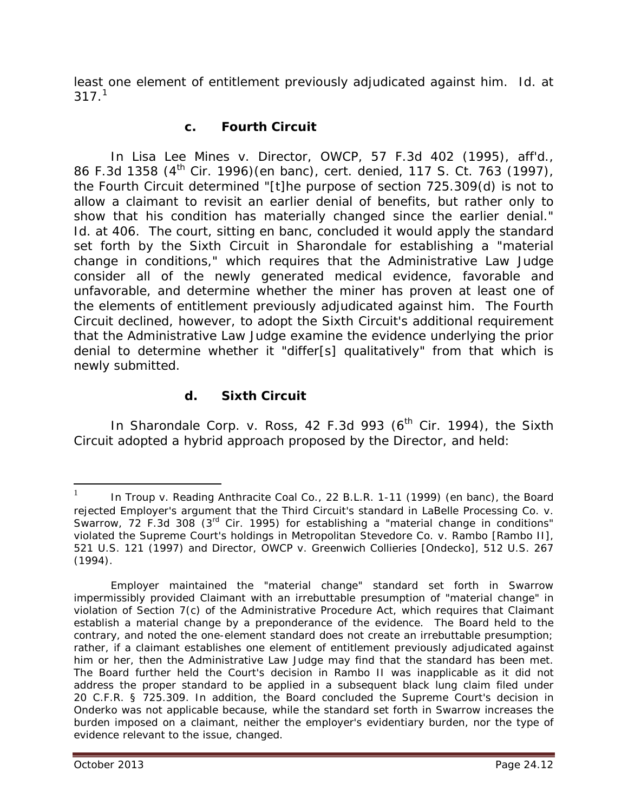least one element of entitlement previously adjudicated against him. *Id.* at  $317.<sup>1</sup>$  $317.<sup>1</sup>$  $317.<sup>1</sup>$ 

## **c. Fourth Circuit**

In *Lisa Lee Mines v. Director, OWCP*, 57 F.3d 402 (1995), *aff'd.*, 86 F.3d 1358 (4th Cir. 1996)(en banc), *cert. denied*, 117 S. Ct. 763 (1997), the Fourth Circuit determined "[t]he purpose of section 725.309(d) is not to allow a claimant to revisit an earlier denial of benefits, but rather only to show that his condition has materially changed since the earlier denial." *Id.* at 406. The court, sitting *en banc*, concluded it would apply the standard set forth by the Sixth Circuit in *Sharondale* for establishing a "material change in conditions," which requires that the Administrative Law Judge consider all of the newly generated medical evidence, favorable and unfavorable, and determine whether the miner has proven at least one of the elements of entitlement previously adjudicated against him. The Fourth Circuit declined, however, to adopt the Sixth Circuit's additional requirement that the Administrative Law Judge examine the evidence underlying the prior denial to determine whether it "differ[s] qualitatively" from that which is newly submitted.

#### **d. Sixth Circuit**

In *Sharondale Corp. v. Ross*, 42 F.3d 993 (6<sup>th</sup> Cir. 1994), the Sixth Circuit adopted a hybrid approach proposed by the Director, and held:

 $\overline{a}$ 

<span id="page-11-0"></span><sup>1</sup> In *Troup v. Reading Anthracite Coal Co.*, 22 B.L.R. 1-11 (1999) (en banc), the Board rejected Employer's argument that the Third Circuit's standard in *LaBelle Processing Co. v. Swarrow*, 72 F.3d 308 (3rd Cir. 1995) for establishing a "material change in conditions" violated the Supreme Court's holdings in *Metropolitan Stevedore Co. v. Rambo [Rambo II]*, 521 U.S. 121 (1997) and *Director, OWCP v. Greenwich Collieries [Ondecko]*, 512 U.S. 267 (1994).

Employer maintained the "material change" standard set forth in *Swarrow* impermissibly provided Claimant with an irrebuttable presumption of "material change" in violation of Section 7(c) of the Administrative Procedure Act, which requires that Claimant establish a material change by a preponderance of the evidence. The Board held to the contrary, and noted the one-element standard does not create an irrebuttable presumption; rather, if a claimant establishes one element of entitlement previously adjudicated against him or her, then the Administrative Law Judge *may* find that the standard has been met. The Board further held the Court's decision in *Rambo II* was inapplicable as it did not address the proper standard to be applied in a subsequent black lung claim filed under 20 C.F.R. § 725.309. In addition, the Board concluded the Supreme Court's decision in *Onderko* was not applicable because, while the standard set forth in *Swarrow* increases the burden imposed on a claimant, neither the employer's evidentiary burden, nor the type of evidence relevant to the issue, changed.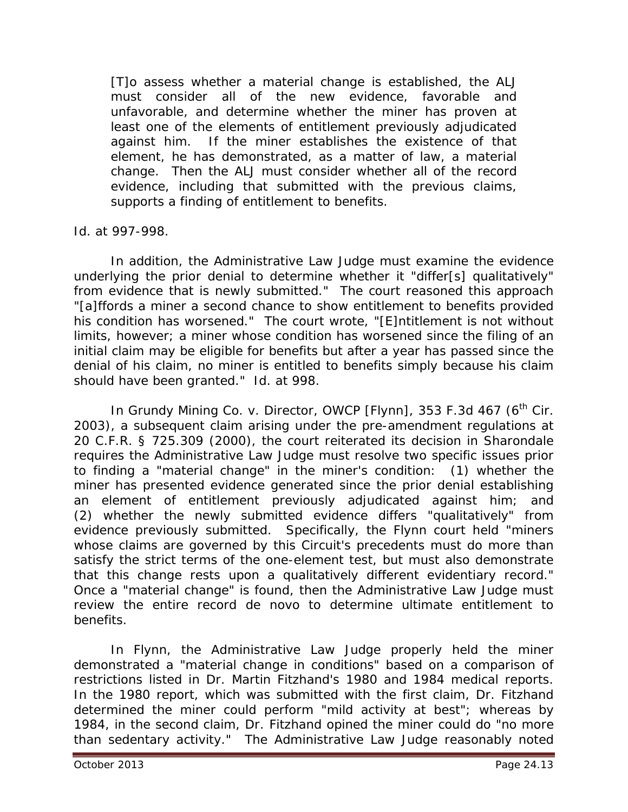[T]o assess whether a material change is established, the ALJ must consider all of the new evidence, favorable and unfavorable, and determine whether the miner has proven at least one of the elements of entitlement previously adjudicated against him. If the miner establishes the existence of that element, he has demonstrated, as a matter of law, a material change. Then the ALJ must consider whether all of the record evidence, including that submitted with the previous claims, supports a finding of entitlement to benefits.

#### *Id.* at 997-998.

In addition, the Administrative Law Judge must examine the evidence underlying the prior denial to determine whether it "differ[s] qualitatively" from evidence that is newly submitted." The court reasoned this approach "[a]ffords a miner a second chance to show entitlement to benefits provided his condition has worsened." The court wrote, "[E]ntitlement is not without limits, however; a miner whose condition has worsened since the filing of an initial claim may be eligible for benefits but after a year has passed since the denial of his claim, no miner is entitled to benefits simply because his claim should have been granted." *Id.* at 998.

In *Grundy Mining Co. v. Director, OWCP [Flynn]*, 353 F.3d 467 (6<sup>th</sup> Cir. 2003), a subsequent claim arising under the pre-amendment regulations at 20 C.F.R. § 725.309 (2000), the court reiterated its decision in *Sharondale* requires the Administrative Law Judge must resolve two specific issues prior to finding a "material change" in the miner's condition: (1) whether the miner has presented evidence generated since the prior denial establishing an element of entitlement previously adjudicated against him; and (2) whether the newly submitted evidence differs "qualitatively" from evidence previously submitted. Specifically, the *Flynn* court held "miners whose claims are governed by this Circuit's precedents must do more than satisfy the strict terms of the one-element test, but must also demonstrate that this change rests upon a qualitatively different evidentiary record." Once a "material change" is found, then the Administrative Law Judge must review the entire record *de novo* to determine ultimate entitlement to benefits.

In *Flynn*, the Administrative Law Judge properly held the miner demonstrated a "material change in conditions" based on a comparison of restrictions listed in Dr. Martin Fitzhand's 1980 and 1984 medical reports. In the 1980 report, which was submitted with the first claim, Dr. Fitzhand determined the miner could perform "mild activity at best"; whereas by 1984, in the second claim, Dr. Fitzhand opined the miner could do "no more than sedentary activity." The Administrative Law Judge reasonably noted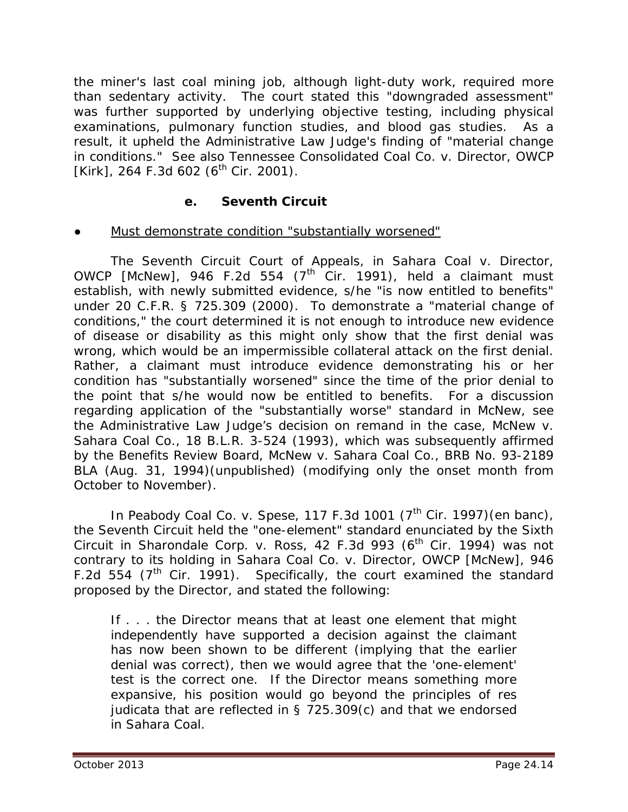the miner's last coal mining job, although light-duty work, required more than sedentary activity. The court stated this "downgraded assessment" was further supported by underlying objective testing, including physical examinations, pulmonary function studies, and blood gas studies. As a result, it upheld the Administrative Law Judge's finding of "material change in conditions." *See also Tennessee Consolidated Coal Co. v. Director, OWCP [Kirk]*, 264 F.3d 602 (6<sup>th</sup> Cir. 2001).

## **e. Seventh Circuit**

## Must demonstrate condition "substantially worsened"

The Seventh Circuit Court of Appeals, in *Sahara Coal v. Director, OWCP [McNew]*, 946 F.2d 554  $(7<sup>th</sup>$  Cir. 1991), held a claimant must establish, with newly submitted evidence, s/he "is now entitled to benefits" under 20 C.F.R. § 725.309 (2000). To demonstrate a "material change of conditions," the court determined it is not enough to introduce new evidence of disease or disability as this might only show that the first denial was wrong, which would be an impermissible collateral attack on the first denial. Rather, a claimant must introduce evidence demonstrating his or her condition has "substantially worsened" since the time of the prior denial to the point that s/he would now be entitled to benefits. For a discussion regarding application of the "substantially worse" standard in *McNew, see*  the Administrative Law Judge's decision on remand in the case, *McNew v. Sahara Coal Co.*, 18 B.L.R. 3-524 (1993), which was subsequently affirmed by the Benefits Review Board, *McNew v. Sahara Coal Co.*, BRB No. 93-2189 BLA (Aug. 31, 1994)(unpublished) (modifying only the onset month from October to November).

In *Peabody Coal Co. v. Spese*, 117 F.3d 1001 (7<sup>th</sup> Cir. 1997) (en banc), the Seventh Circuit held the "one-element" standard enunciated by the Sixth Circuit in *Sharondale Corp. v. Ross*, 42 F.3d 993 (6<sup>th</sup> Cir. 1994) was not contrary to its holding in *Sahara Coal Co. v. Director, OWCP [McNew]*, 946 F.2d 554 ( $7<sup>th</sup>$  Cir. 1991). Specifically, the court examined the standard proposed by the Director, and stated the following:

If . . . the Director means that at least one element that might independently have supported a decision against the claimant has now been shown to be different (implying that the earlier denial was correct), then we would agree that the 'one-element' test is the correct one. If the Director means something more expansive, his position would go beyond the principles of res judicata that are reflected in § 725.309(c) and that we endorsed in *Sahara Coal*.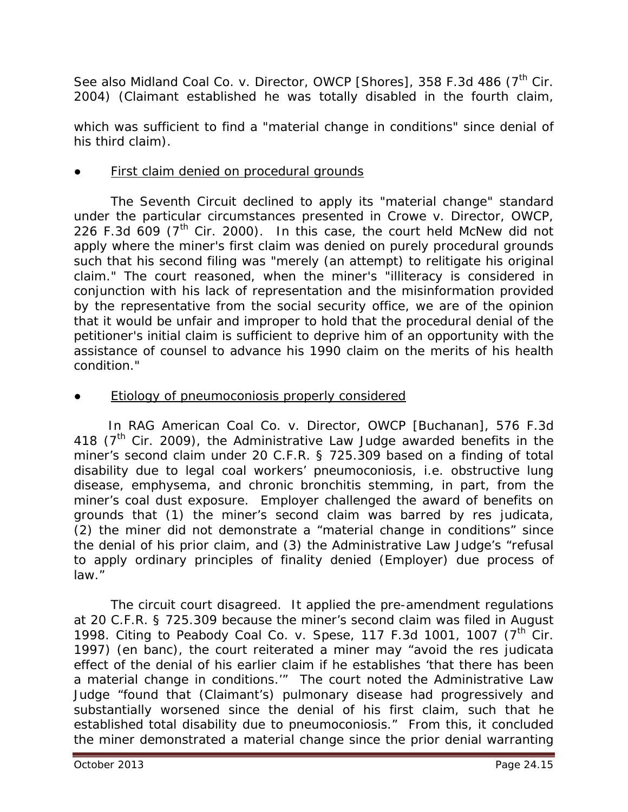*See also Midland Coal Co. v. Director, OWCP [Shores]*, 358 F.3d 486 (7<sup>th</sup> Cir. 2004) (Claimant established he was totally disabled in the fourth claim,

which was sufficient to find a "material change in conditions" since denial of his third claim).

First claim denied on procedural grounds

The Seventh Circuit declined to apply its "material change" standard under the particular circumstances presented in *Crowe v. Director, OWCP*, 226 F.3d 609 (7<sup>th</sup> Cir. 2000). In this case, the court held *McNew* did not apply where the miner's first claim was denied on purely procedural grounds such that his second filing was "merely (an attempt) to relitigate his original claim." The court reasoned, when the miner's "illiteracy is considered in conjunction with his lack of representation and the misinformation provided by the representative from the social security office, we are of the opinion that it would be unfair and improper to hold that the procedural denial of the petitioner's initial claim is sufficient to deprive him of an opportunity with the assistance of counsel to advance his 1990 claim on the merits of his health condition."

**Etiology of pneumoconiosis properly considered** 

 In *RAG American Coal Co. v. Director, OWCP [Buchanan]*, 576 F.3d 418 ( $7<sup>th</sup>$  Cir. 2009), the Administrative Law Judge awarded benefits in the miner's second claim under 20 C.F.R. § 725.309 based on a finding of total disability due to legal coal workers' pneumoconiosis, *i.e.* obstructive lung disease, emphysema, and chronic bronchitis stemming, in part, from the miner's coal dust exposure. Employer challenged the award of benefits on grounds that (1) the miner's second claim was barred by *res judicata*, (2) the miner did not demonstrate a "material change in conditions" since the denial of his prior claim, and (3) the Administrative Law Judge's "refusal to apply ordinary principles of finality denied (Employer) due process of law."

The circuit court disagreed. It applied the pre-amendment regulations at 20 C.F.R. § 725.309 because the miner's second claim was filed in August 1998. Citing to *Peabody Coal Co. v. Spese*, 117 F.3d 1001, 1007 (7<sup>th Cir.</sup> 1997) (en banc), the court reiterated a miner may "avoid the *res judicata* effect of the denial of his earlier claim if he establishes 'that there has been a material change in conditions.'" The court noted the Administrative Law Judge "found that (Claimant's) pulmonary disease had progressively and substantially worsened since the denial of his first claim, such that he established total disability due to pneumoconiosis." From this, it concluded the miner demonstrated a material change since the prior denial warranting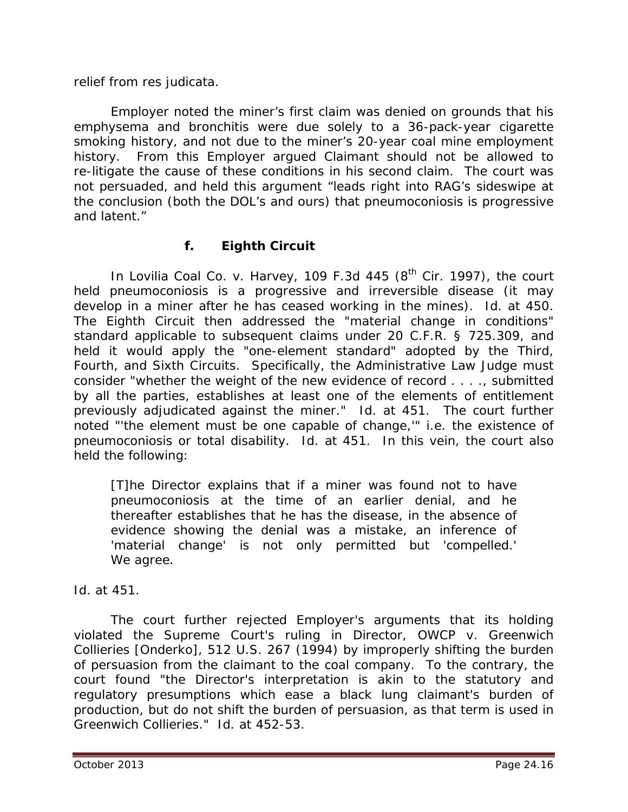#### relief from *res judicata*.

Employer noted the miner's first claim was denied on grounds that his emphysema and bronchitis were due solely to a 36-pack-year cigarette smoking history, and not due to the miner's 20-year coal mine employment history. From this Employer argued Claimant should not be allowed to re-litigate the cause of these conditions in his second claim. The court was not persuaded, and held this argument "leads right into RAG's sideswipe at the conclusion (both the DOL's and ours) that pneumoconiosis is progressive and latent."

## **f. Eighth Circuit**

In *Lovilia Coal Co. v. Harvey*, 109 F.3d 445 (8<sup>th</sup> Cir. 1997), the court held pneumoconiosis is a progressive and irreversible disease (it may develop in a miner after he has ceased working in the mines). *Id.* at 450. The Eighth Circuit then addressed the "material change in conditions" standard applicable to subsequent claims under 20 C.F.R. § 725.309, and held it would apply the "one-element standard" adopted by the Third, Fourth, and Sixth Circuits. Specifically, the Administrative Law Judge must consider "whether the weight of the new evidence of record . . . ., submitted by all the parties, establishes at least one of the elements of entitlement previously adjudicated against the miner." *Id.* at 451. The court further noted "'the element must be one capable of change,'" *i.e.* the existence of pneumoconiosis or total disability. *Id.* at 451. In this vein, the court also held the following:

[T]he Director explains that if a miner was found not to have pneumoconiosis at the time of an earlier denial, and he thereafter establishes that he has the disease, in the absence of evidence showing the denial was a mistake, an inference of 'material change' is not only permitted but 'compelled.' We agree.

#### *Id.* at 451.

The court further rejected Employer's arguments that its holding violated the Supreme Court's ruling in *Director, OWCP v. Greenwich Collieries [Onderko]*, 512 U.S. 267 (1994) by improperly shifting the burden of persuasion from the claimant to the coal company. To the contrary, the court found "the Director's interpretation is akin to the statutory and regulatory presumptions which ease a black lung claimant's burden of production, but do not shift the burden of persuasion, as that term is used in *Greenwich Collieries.*" *Id.* at 452-53.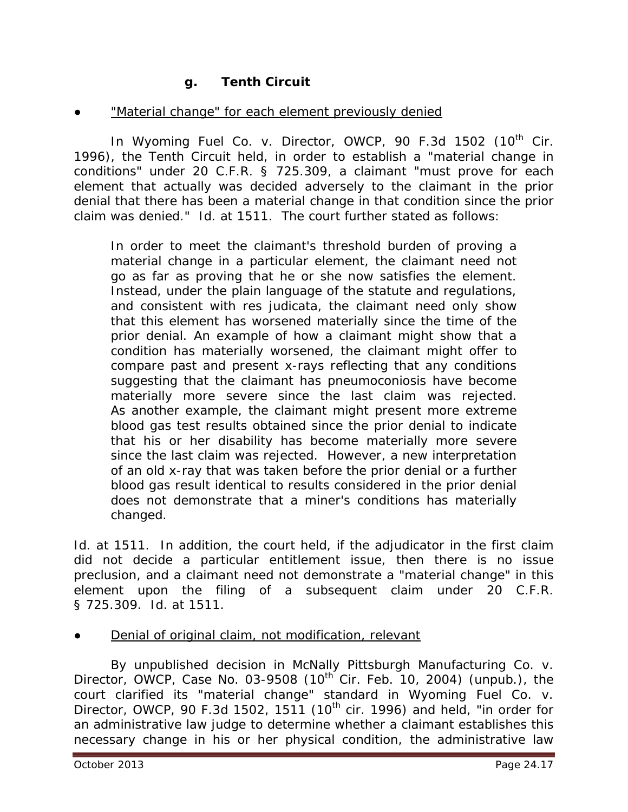## **g. Tenth Circuit**

#### "Material change" for each element previously denied

In *Wyoming Fuel Co. v. Director, OWCP*, 90 F.3d 1502 (10<sup>th</sup> Cir. 1996), the Tenth Circuit held, in order to establish a "material change in conditions" under 20 C.F.R. § 725.309, a claimant "must prove for each element that actually was decided adversely to the claimant in the prior denial that there has been a material change in that condition since the prior claim was denied." *Id.* at 1511. The court further stated as follows:

In order to meet the claimant's threshold burden of proving a material change in a particular element, the claimant need not go as far as proving that he or she now satisfies the element. Instead, under the plain language of the statute and regulations, and consistent with res judicata, the claimant need only show that this element has worsened materially since the time of the prior denial. An example of how a claimant might show that a condition has materially worsened, the claimant might offer to compare past and present x-rays reflecting that any conditions suggesting that the claimant has pneumoconiosis have become materially more severe since the last claim was rejected. As another example, the claimant might present more extreme blood gas test results obtained since the prior denial to indicate that his or her disability has become materially more severe since the last claim was rejected. However, a new interpretation of an old x-ray that was taken before the prior denial or a further blood gas result identical to results considered in the prior denial does not demonstrate that a miner's conditions has materially changed.

*Id.* at 1511. In addition, the court held, if the adjudicator in the first claim did not decide a particular entitlement issue, then there is no issue preclusion, and a claimant need not demonstrate a "material change" in this element upon the filing of a subsequent claim under 20 C.F.R. § 725.309. *Id.* at 1511.

Denial of original claim, not modification, relevant

By unpublished decision in *McNally Pittsburgh Manufacturing Co. v. Director, OWCP*, Case No. 03-9508 (10<sup>th</sup> Cir. Feb. 10, 2004) (unpub.), the court clarified its "material change" standard in *Wyoming Fuel Co. v. Director, OWCP*, 90 F.3d 1502, 1511 (10<sup>th</sup> cir. 1996) and held, "in order for an administrative law judge to determine whether a claimant establishes this necessary change in his or her physical condition, the administrative law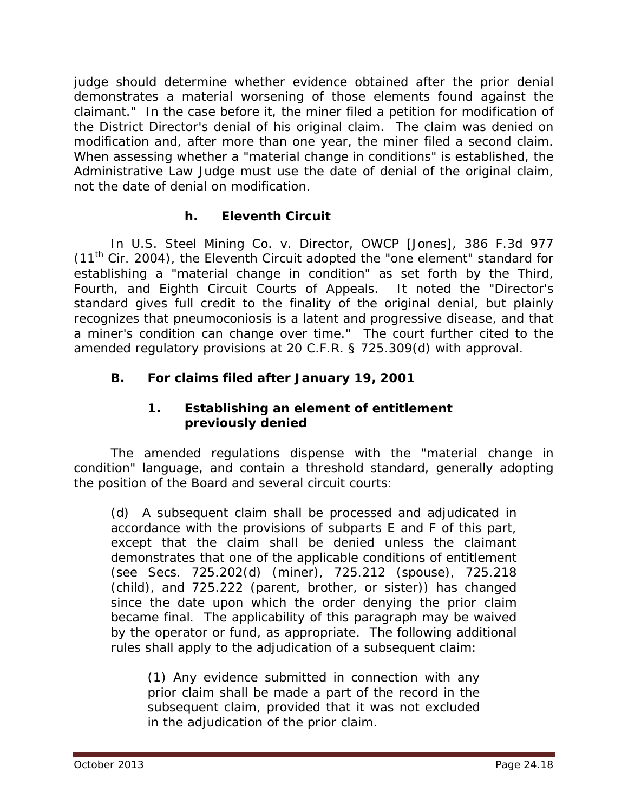judge should determine whether evidence obtained after the prior denial demonstrates a material worsening of those elements found against the claimant." In the case before it, the miner filed a petition for modification of the District Director's denial of his original claim. The claim was denied on modification and, after more than one year, the miner filed a second claim. When assessing whether a "material change in conditions" is established, the Administrative Law Judge must use the date of denial of the original claim, not the date of denial on modification.

## **h. Eleventh Circuit**

In *U.S. Steel Mining Co. v. Director, OWCP [Jones]*, 386 F.3d 977  $(11<sup>th</sup>$  Cir. 2004), the Eleventh Circuit adopted the "one element" standard for establishing a "material change in condition" as set forth by the Third, Fourth, and Eighth Circuit Courts of Appeals. It noted the "Director's standard gives full credit to the *finality* of the original denial, but plainly recognizes that pneumoconiosis is a latent and progressive disease, and that a miner's condition can change over time." The court further cited to the amended regulatory provisions at 20 C.F.R. § 725.309(d) with approval.

# **B. For claims filed after January 19, 2001**

## **1. Establishing an element of entitlement previously denied**

The amended regulations dispense with the "material change in condition" language, and contain a threshold standard, generally adopting the position of the Board and several circuit courts:

(d) A subsequent claim shall be processed and adjudicated in accordance with the provisions of subparts E and F of this part, except that the claim shall be denied unless the claimant demonstrates that one of the applicable conditions of entitlement (see Secs. 725.202(d) (miner), 725.212 (spouse), 725.218 (child), and 725.222 (parent, brother, or sister)) has changed since the date upon which the order denying the prior claim became final. The applicability of this paragraph may be waived by the operator or fund, as appropriate. The following additional rules shall apply to the adjudication of a subsequent claim:

(1) Any evidence submitted in connection with any prior claim shall be made a part of the record in the subsequent claim, provided that it was not excluded in the adjudication of the prior claim.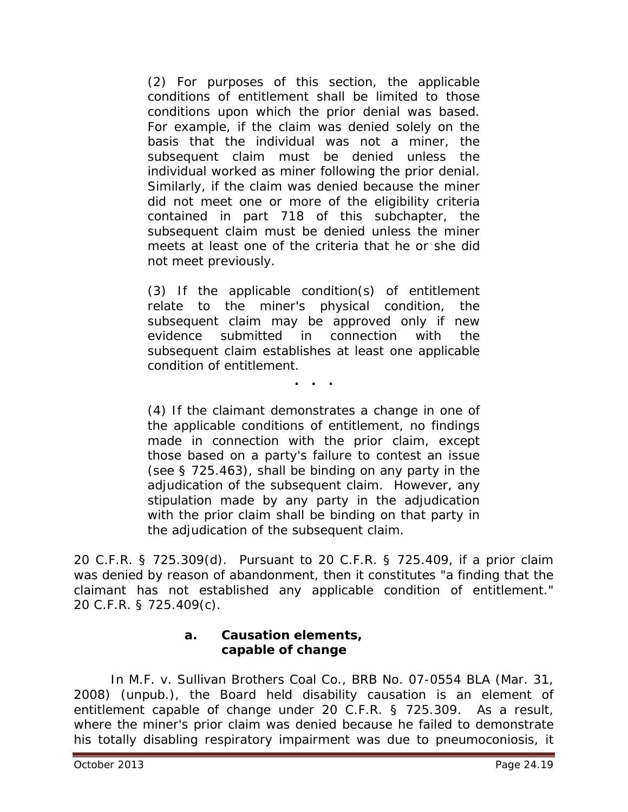(2) For purposes of this section, the applicable conditions of entitlement shall be limited to those conditions upon which the prior denial was based. For example, if the claim was denied solely on the basis that the individual was not a miner, the subsequent claim must be denied unless the individual worked as miner following the prior denial. Similarly, if the claim was denied because the miner did not meet one or more of the eligibility criteria contained in part 718 of this subchapter, the subsequent claim must be denied unless the miner meets at least one of the criteria that he or she did not meet previously.

(3) If the applicable condition(s) of entitlement relate to the miner's physical condition, the subsequent claim may be approved only if new evidence submitted in connection with the subsequent claim establishes at least one applicable condition of entitlement.

**. . .**

(4) If the claimant demonstrates a change in one of the applicable conditions of entitlement, no findings made in connection with the prior claim, except those based on a party's failure to contest an issue (see § 725.463), shall be binding on any party in the adjudication of the subsequent claim. However, any stipulation made by any party in the adjudication with the prior claim shall be binding on that party in the adjudication of the subsequent claim.

20 C.F.R. § 725.309(d). Pursuant to 20 C.F.R. § 725.409, if a prior claim was denied by reason of abandonment, then it constitutes "a finding that the claimant has not established any applicable condition of entitlement." 20 C.F.R. § 725.409(c).

#### **a. Causation elements, capable of change**

In *M.F. v. Sullivan Brothers Coal Co.*, BRB No. 07-0554 BLA (Mar. 31, 2008) (unpub.), the Board held disability causation is an element of entitlement capable of change under 20 C.F.R. § 725.309. As a result, where the miner's prior claim was denied because he failed to demonstrate his totally disabling respiratory impairment was due to pneumoconiosis, it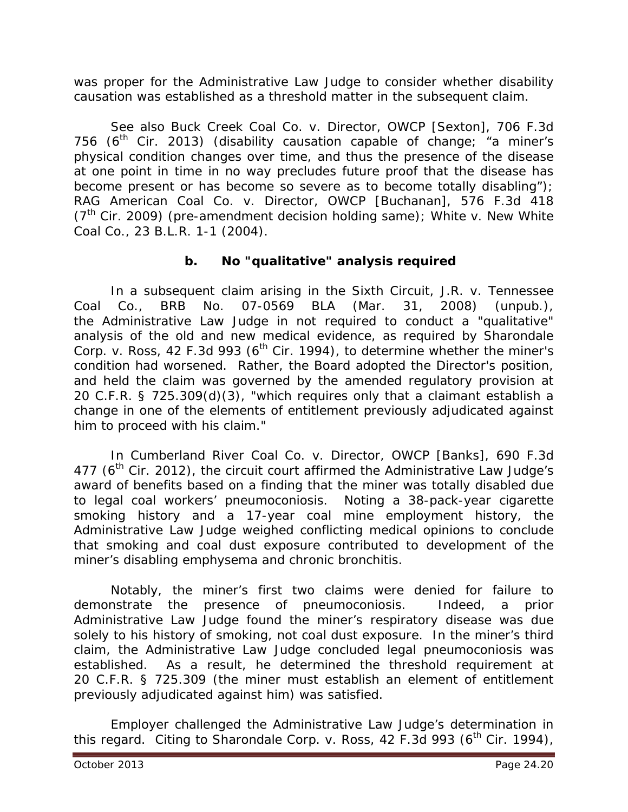was proper for the Administrative Law Judge to consider whether disability causation was established as a threshold matter in the subsequent claim.

*See also Buck Creek Coal Co. v. Director, OWCP [Sexton],* 706 F.3d 756 ( $6<sup>th</sup>$  Cir. 2013) (disability causation capable of change; "a miner's physical condition changes over time, and thus the presence of the disease at one point in time in no way precludes future proof that the disease has become present or has become so severe as to become totally disabling"); *RAG American Coal Co. v. Director, OWCP [Buchanan]*, 576 F.3d 418 (7th Cir. 2009) (pre-amendment decision holding same); *White v. New White Coal Co.*, 23 B.L.R. 1-1 (2004).

## **b. No "qualitative" analysis required**

In a subsequent claim arising in the Sixth Circuit, *J.R. v. Tennessee Coal Co.*, BRB No. 07-0569 BLA (Mar. 31, 2008) (unpub.), the Administrative Law Judge in not required to conduct a "qualitative" analysis of the old and new medical evidence, as required by *Sharondale Corp. v. Ross,* 42 F.3d 993 (6<sup>th</sup> Cir. 1994), to determine whether the miner's condition had worsened. Rather, the Board adopted the Director's position, and held the claim was governed by the amended regulatory provision at 20 C.F.R. § 725.309(d)(3), "which requires only that a claimant establish a change in one of the elements of entitlement previously adjudicated against him to proceed with his claim."

In *Cumberland River Coal Co. v. Director, OWCP [Banks]*, 690 F.3d 477 ( $6<sup>th</sup>$  Cir. 2012), the circuit court affirmed the Administrative Law Judge's award of benefits based on a finding that the miner was totally disabled due to legal coal workers' pneumoconiosis. Noting a 38-pack-year cigarette smoking history and a 17-year coal mine employment history, the Administrative Law Judge weighed conflicting medical opinions to conclude that smoking and coal dust exposure contributed to development of the miner's disabling emphysema and chronic bronchitis.

Notably, the miner's first two claims were denied for failure to demonstrate the presence of pneumoconiosis. Indeed, a prior Administrative Law Judge found the miner's respiratory disease was due solely to his history of smoking, not coal dust exposure. In the miner's third claim, the Administrative Law Judge concluded legal pneumoconiosis was established. As a result, he determined the threshold requirement at 20 C.F.R. § 725.309 (the miner must establish an element of entitlement previously adjudicated against him) was satisfied.

Employer challenged the Administrative Law Judge's determination in this regard. Citing to *Sharondale Corp. v. Ross*, 42 F.3d 993 (6<sup>th</sup> Cir. 1994),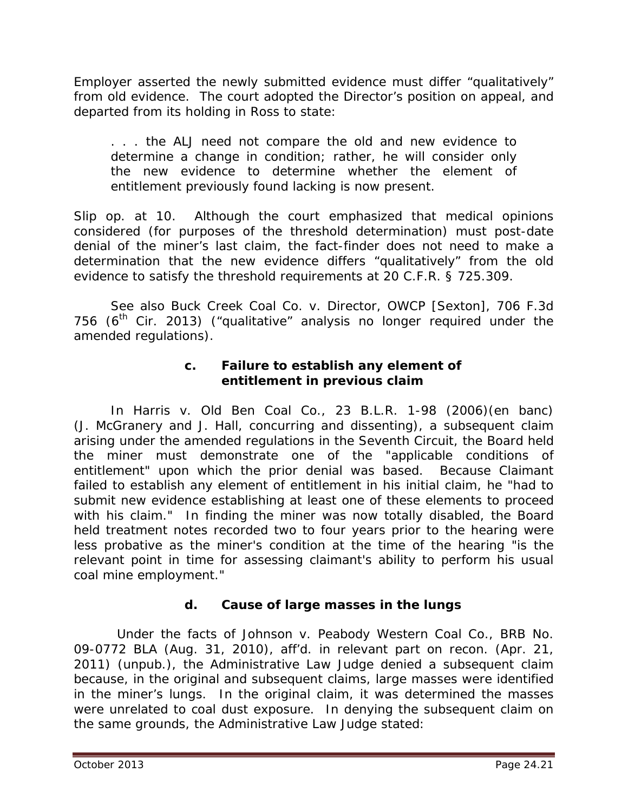Employer asserted the newly submitted evidence must differ "qualitatively" from old evidence. The court adopted the Director's position on appeal, and departed from its holding in *Ross* to state:

. . . the ALJ need not compare the old and new evidence to determine a change in condition; rather, he will consider only the new evidence to determine whether the element of entitlement previously found lacking is now present.

*Slip op.* at 10. Although the court emphasized that medical opinions considered (for purposes of the threshold determination) must post-date denial of the miner's last claim, the fact-finder does not need to make a determination that the new evidence differs "qualitatively" from the old evidence to satisfy the threshold requirements at 20 C.F.R. § 725.309.

*See also Buck Creek Coal Co. v. Director, OWCP [Sexton],* 706 F.3d 756 ( $6<sup>th</sup>$  Cir. 2013) ("qualitative" analysis no longer required under the amended regulations).

## **c. Failure to establish any element of entitlement in previous claim**

In *Harris v. Old Ben Coal Co.*, 23 B.L.R. 1-98 (2006)(en banc) (J. McGranery and J. Hall, concurring and dissenting), a subsequent claim arising under the amended regulations in the Seventh Circuit, the Board held the miner must demonstrate one of the "applicable conditions of entitlement" upon which the prior denial was based. Because Claimant failed to establish any element of entitlement in his initial claim, he "had to submit new evidence establishing at least one of these elements to proceed with his claim." In finding the miner was now totally disabled, the Board held treatment notes recorded two to four years prior to the hearing were less probative as the miner's condition at the time of the hearing "is the relevant point in time for assessing claimant's ability to perform his usual coal mine employment."

## **d. Cause of large masses in the lungs**

 Under the facts of *Johnson v. Peabody Western Coal Co.*, BRB No. 09-0772 BLA (Aug. 31, 2010), *aff'd. in relevant part on recon.* (Apr. 21, 2011) (unpub.), the Administrative Law Judge denied a subsequent claim because, in the original and subsequent claims, large masses were identified in the miner's lungs. In the original claim, it was determined the masses were unrelated to coal dust exposure. In denying the subsequent claim on the same grounds, the Administrative Law Judge stated: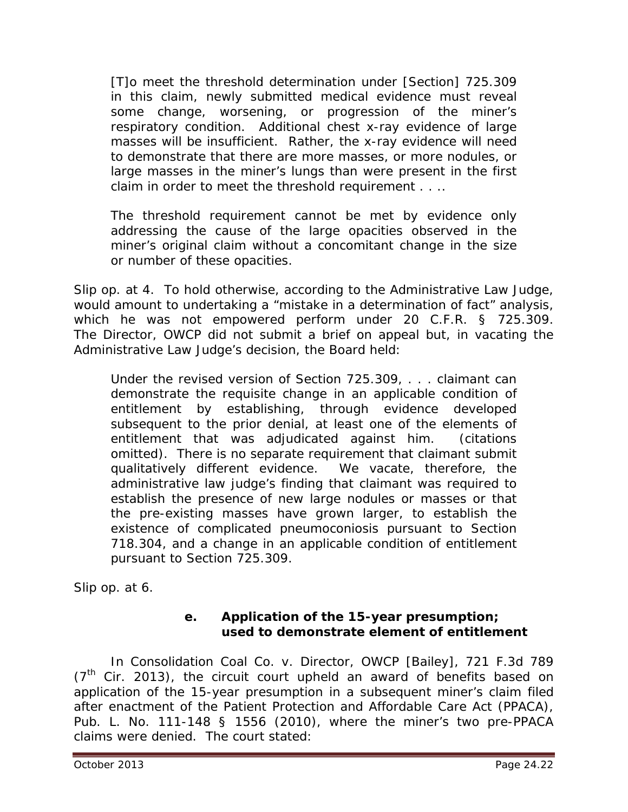[T]o meet the threshold determination under [Section] 725.309 in this claim, newly submitted medical evidence must reveal some change, worsening, or progression of the miner's respiratory condition. Additional chest x-ray evidence of large masses will be insufficient. Rather, the x-ray evidence will need to demonstrate that there are more masses, or more nodules, or large masses in the miner's lungs than were present in the first claim in order to meet the threshold requirement . . ..

The threshold requirement cannot be met by evidence only addressing the cause of the large opacities observed in the miner's original claim without a concomitant change in the size or number of these opacities.

*Slip op.* at 4. To hold otherwise, according to the Administrative Law Judge, would amount to undertaking a "mistake in a determination of fact" analysis, which he was not empowered perform under 20 C.F.R. § 725.309. The Director, OWCP did not submit a brief on appeal but, in vacating the Administrative Law Judge's decision, the Board held:

Under the revised version of Section 725.309, . . . claimant can demonstrate the requisite change in an applicable condition of entitlement by establishing, through evidence developed subsequent to the prior denial, at least one of the elements of entitlement that was adjudicated against him. (citations omitted). There is no separate requirement that claimant submit qualitatively different evidence. We vacate, therefore, the administrative law judge's finding that claimant was required to establish the presence of new large nodules or masses or that the pre-existing masses have grown larger, to establish the existence of complicated pneumoconiosis pursuant to Section 718.304, and a change in an applicable condition of entitlement pursuant to Section 725.309.

*Slip op.* at 6.

## **e. Application of the 15-year presumption; used to demonstrate element of entitlement**

In *Consolidation Coal Co. v. Director, OWCP [Bailey]*, 721 F.3d 789  $(7<sup>th</sup>$  Cir. 2013), the circuit court upheld an award of benefits based on application of the 15-year presumption in a subsequent miner's claim filed after enactment of the Patient Protection and Affordable Care Act (PPACA), Pub. L. No. 111-148 § 1556 (2010), where the miner's two pre-PPACA claims were denied. The court stated: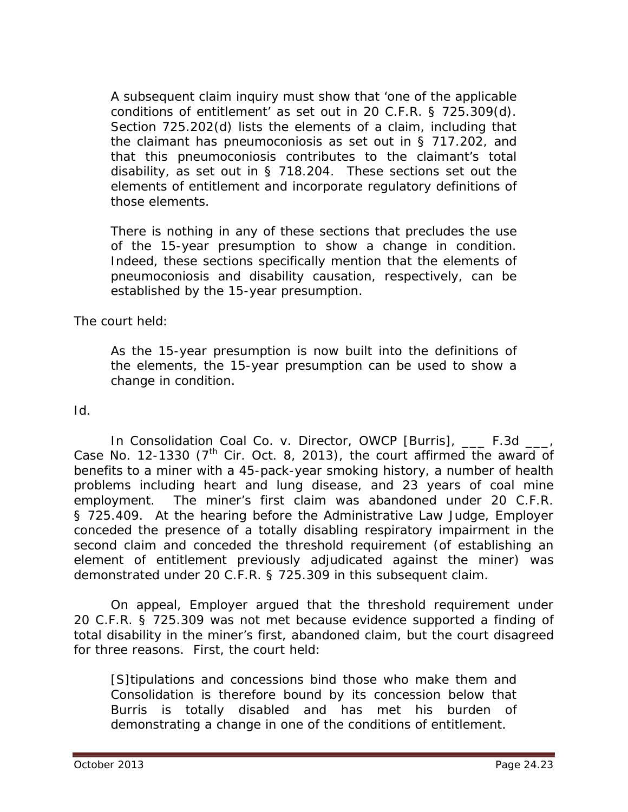A subsequent claim inquiry must show that 'one of the applicable conditions of entitlement' as set out in 20 C.F.R. § 725.309(d). Section 725.202(d) lists the elements of a claim, including that the claimant has pneumoconiosis as set out in § 717.202, and that this pneumoconiosis contributes to the claimant's total disability, as set out in § 718.204. These sections set out the elements of entitlement and incorporate regulatory definitions of those elements.

There is nothing in any of these sections that precludes the use of the 15-year presumption to show a change in condition. Indeed, these sections specifically mention that the elements of pneumoconiosis and disability causation, respectively, can be established by the 15-year presumption.

The court held:

As the 15-year presumption is now built into the definitions of the elements, the 15-year presumption can be used to show a change in condition.

*Id*.

In *Consolidation Coal Co. v. Director, OWCP [Burris]*, \_\_\_ F.3d \_\_\_, Case No. 12-1330 ( $7<sup>th</sup>$  Cir. Oct. 8, 2013), the court affirmed the award of benefits to a miner with a 45-pack-year smoking history, a number of health problems including heart and lung disease, and 23 years of coal mine employment. The miner's first claim was abandoned under 20 C.F.R. § 725.409. At the hearing before the Administrative Law Judge, Employer conceded the presence of a totally disabling respiratory impairment in the second claim and conceded the threshold requirement (of establishing an element of entitlement previously adjudicated against the miner) was demonstrated under 20 C.F.R. § 725.309 in this subsequent claim.

On appeal, Employer argued that the threshold requirement under 20 C.F.R. § 725.309 was not met because evidence supported a finding of total disability in the miner's first, abandoned claim, but the court disagreed for three reasons. First, the court held:

[S]tipulations and concessions bind those who make them and Consolidation is therefore bound by its concession below that Burris is totally disabled and has met his burden of demonstrating a change in one of the conditions of entitlement.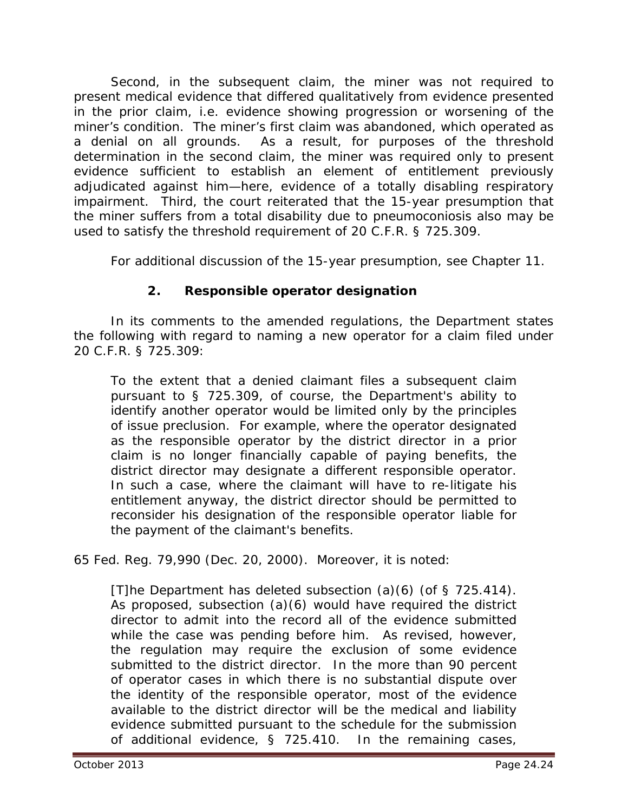Second, in the subsequent claim, the miner was not required to present medical evidence that differed qualitatively from evidence presented in the prior claim, *i.e.* evidence showing progression or worsening of the miner's condition. The miner's first claim was abandoned, which operated as a denial on all grounds. As a result, for purposes of the threshold determination in the second claim, the miner was required only to present evidence sufficient to establish an element of entitlement previously adjudicated against him—here, evidence of a totally disabling respiratory impairment. Third, the court reiterated that the 15-year presumption that the miner suffers from a total disability due to pneumoconiosis also may be used to satisfy the threshold requirement of 20 C.F.R. § 725.309.

For additional discussion of the 15-year presumption, *see* Chapter 11.

# **2. Responsible operator designation**

In its comments to the amended regulations, the Department states the following with regard to naming a new operator for a claim filed under 20 C.F.R. § 725.309:

To the extent that a denied claimant files a subsequent claim pursuant to § 725.309, of course, the Department's ability to identify another operator would be limited only by the principles of issue preclusion. For example, where the operator designated as the responsible operator by the district director in a prior claim is no longer financially capable of paying benefits, the district director may designate a different responsible operator. In such a case, where the claimant will have to re-litigate his entitlement anyway, the district director should be permitted to reconsider his designation of the responsible operator liable for the payment of the claimant's benefits.

65 Fed. Reg. 79,990 (Dec. 20, 2000). Moreover, it is noted:

[T]he Department has deleted subsection (a)(6) (of § 725.414). As proposed, subsection (a)(6) would have required the district director to admit into the record all of the evidence submitted while the case was pending before him. As revised, however, the regulation may require the exclusion of some evidence submitted to the district director. In the more than 90 percent of operator cases in which there is no substantial dispute over the identity of the responsible operator, most of the evidence available to the district director will be the medical and liability evidence submitted pursuant to the schedule for the submission of additional evidence, § 725.410. In the remaining cases,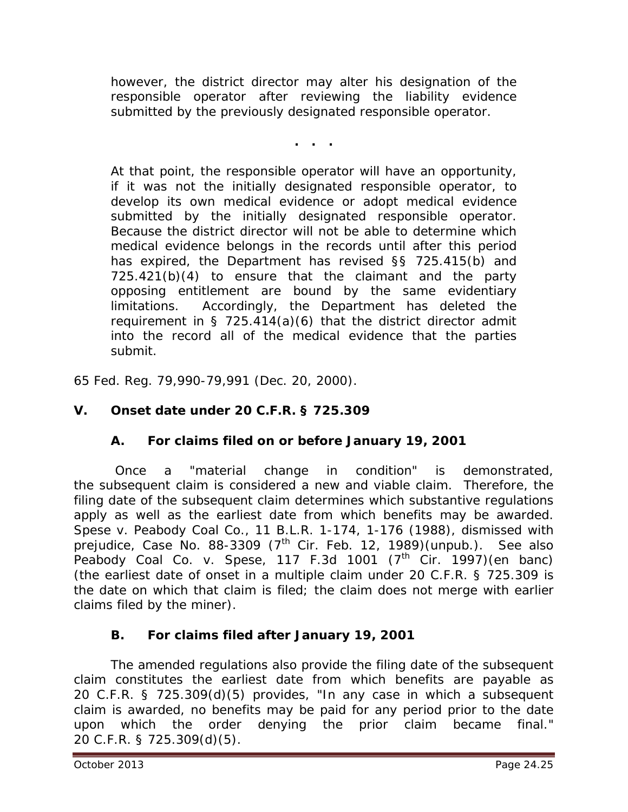however, the district director may alter his designation of the responsible operator after reviewing the liability evidence submitted by the previously designated responsible operator.

**. . .**

At that point, the responsible operator will have an opportunity, if it was not the initially designated responsible operator, to develop its own medical evidence or adopt medical evidence submitted by the initially designated responsible operator. Because the district director will not be able to determine which medical evidence belongs in the records until after this period has expired, the Department has revised §§ 725.415(b) and 725.421(b)(4) to ensure that the claimant and the party opposing entitlement are bound by the same evidentiary limitations. Accordingly, the Department has deleted the requirement in § 725.414(a)(6) that the district director admit into the record all of the medical evidence that the parties submit.

65 Fed. Reg. 79,990-79,991 (Dec. 20, 2000).

# **V. Onset date under 20 C.F.R. § 725.309**

## **A. For claims filed on or before January 19, 2001**

Once a "material change in condition" is demonstrated, the subsequent claim is considered a new and viable claim. Therefore, the filing date of the subsequent claim determines which substantive regulations apply as well as the earliest date from which benefits may be awarded. *Spese v. Peabody Coal Co.*, 11 B.L.R. 1-174, 1-176 (1988), *dismissed with prejudice,* Case No. 88-3309 (7th Cir. Feb. 12, 1989)(unpub.). *See also Peabody Coal Co. v. Spese*, 117 F.3d 1001 (7<sup>th</sup> Cir. 1997)(en banc) (the earliest date of onset in a multiple claim under 20 C.F.R. § 725.309 is the date on which that claim is filed; the claim does not merge with earlier claims filed by the miner).

## **B. For claims filed after January 19, 2001**

The amended regulations also provide the filing date of the subsequent claim constitutes the earliest date from which benefits are payable as 20 C.F.R. § 725.309(d)(5) provides, "In any case in which a subsequent claim is awarded, no benefits may be paid for any period prior to the date upon which the order denying the prior claim became final." 20 C.F.R. § 725.309(d)(5).